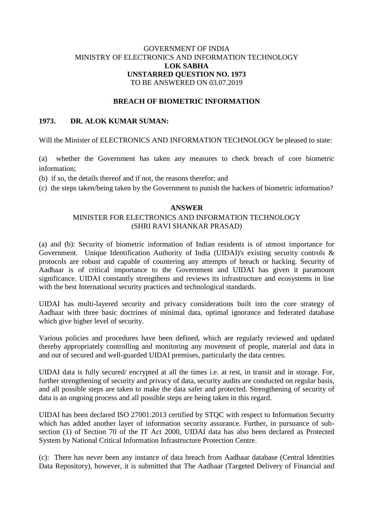# GOVERNMENT OF INDIA MINISTRY OF ELECTRONICS AND INFORMATION TECHNOLOGY **LOK SABHA UNSTARRED QUESTION NO. 1973** TO BE ANSWERED ON 03.07.2019

#### **BREACH OF BIOMETRIC INFORMATION**

# **1973. DR. ALOK KUMAR SUMAN:**

Will the Minister of ELECTRONICS AND INFORMATION TECHNOLOGY be pleased to state:

(a) whether the Government has taken any measures to check breach of core biometric information;

(b) if so, the details thereof and if not, the reasons therefor; and

(c) the steps taken/being taken by the Government to punish the hackers of biometric information?

# **ANSWER**

## MINISTER FOR ELECTRONICS AND INFORMATION TECHNOLOGY (SHRI RAVI SHANKAR PRASAD)

(a) and (b): Security of biometric information of Indian residents is of utmost importance for Government. Unique Identification Authority of India (UIDAI)'s existing security controls & protocols are robust and capable of countering any attempts of breach or hacking. Security of Aadhaar is of critical importance to the Government and UIDAI has given it paramount significance. UIDAI constantly strengthens and reviews its infrastructure and ecosystems in line with the best International security practices and technological standards.

UIDAI has multi-layered security and privacy considerations built into the core strategy of Aadhaar with three basic doctrines of minimal data, optimal ignorance and federated database which give higher level of security.

Various policies and procedures have been defined, which are regularly reviewed and updated thereby appropriately controlling and monitoring any movement of people, material and data in and out of secured and well-guarded UIDAI premises, particularly the data centres.

UIDAI data is fully secured/ encrypted at all the times i.e. at rest, in transit and in storage. For, further strengthening of security and privacy of data, security audits are conducted on regular basis, and all possible steps are taken to make the data safer and protected. Strengthening of security of data is an ongoing process and all possible steps are being taken in this regard.

UIDAI has been declared ISO 27001:2013 certified by STQC with respect to Information Security which has added another layer of information security assurance. Further, in pursuance of subsection (1) of Section 70 of the IT Act 2000, UIDAI data has also been declared as Protected System by National Critical Information Infrastructure Protection Centre.

(c): There has never been any instance of data breach from Aadhaar database (Central Identities Data Repository), however, it is submitted that The Aadhaar (Targeted Delivery of Financial and